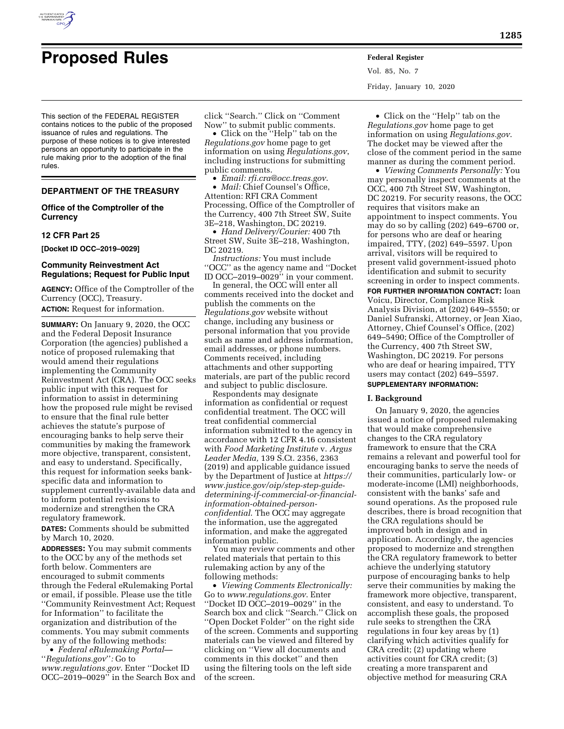

# **Proposed Rules Federal Register**

This section of the FEDERAL REGISTER contains notices to the public of the proposed issuance of rules and regulations. The purpose of these notices is to give interested persons an opportunity to participate in the rule making prior to the adoption of the final rules.

#### **DEPARTMENT OF THE TREASURY**

# **Office of the Comptroller of the Currency**

#### **12 CFR Part 25**

**[Docket ID OCC–2019–0029]** 

## **Community Reinvestment Act Regulations; Request for Public Input**

**AGENCY:** Office of the Comptroller of the Currency (OCC), Treasury.

**ACTION:** Request for information.

**SUMMARY:** On January 9, 2020, the OCC and the Federal Deposit Insurance Corporation (the agencies) published a notice of proposed rulemaking that would amend their regulations implementing the Community Reinvestment Act (CRA). The OCC seeks public input with this request for information to assist in determining how the proposed rule might be revised to ensure that the final rule better achieves the statute's purpose of encouraging banks to help serve their communities by making the framework more objective, transparent, consistent, and easy to understand. Specifically, this request for information seeks bankspecific data and information to supplement currently-available data and to inform potential revisions to modernize and strengthen the CRA regulatory framework.

**DATES:** Comments should be submitted by March 10, 2020.

**ADDRESSES:** You may submit comments to the OCC by any of the methods set forth below. Commenters are encouraged to submit comments through the Federal eRulemaking Portal or email, if possible. Please use the title ''Community Reinvestment Act; Request for Information'' to facilitate the organization and distribution of the comments. You may submit comments by any of the following methods:

• *Federal eRulemaking Portal—*  ''*Regulations.gov*''*:* Go to *[www.regulations.gov](http://www.regulations.gov)*. Enter ''Docket ID OCC–2019–0029'' in the Search Box and

click ''Search.'' Click on ''Comment Now'' to submit public comments.

• Click on the ''Help'' tab on the *Regulations.gov* home page to get information on using *Regulations.gov*, including instructions for submitting public comments.

• *Email: [rfi.cra@occ.treas.gov](mailto:rfi.cra@occ.treas.gov)*.

• *Mail:* Chief Counsel's Office, Attention: RFI CRA Comment Processing, Office of the Comptroller of the Currency, 400 7th Street SW, Suite 3E–218, Washington, DC 20219.

• *Hand Delivery/Courier:* 400 7th Street SW, Suite 3E–218, Washington, DC 20219.

*Instructions:* You must include ''OCC'' as the agency name and ''Docket ID OCC–2019–0029'' in your comment.

In general, the OCC will enter all comments received into the docket and publish the comments on the *Regulations.gov* website without change, including any business or personal information that you provide such as name and address information, email addresses, or phone numbers. Comments received, including attachments and other supporting materials, are part of the public record and subject to public disclosure.

Respondents may designate information as confidential or request confidential treatment. The OCC will treat confidential commercial information submitted to the agency in accordance with 12 CFR 4.16 consistent with *Food Marketing Institute* v. *Argus Leader Media,* 139 S.Ct. 2356, 2363 (2019) and applicable guidance issued by the Department of Justice at *[https://](https://www.justice.gov/oip/step-step-guide-determining-if-commercial-or-financial-information-obtained-person-confidential)  [www.justice.gov/oip/step-step-guide](https://www.justice.gov/oip/step-step-guide-determining-if-commercial-or-financial-information-obtained-person-confidential)[determining-if-commercial-or-financial](https://www.justice.gov/oip/step-step-guide-determining-if-commercial-or-financial-information-obtained-person-confidential)[information-obtained-person](https://www.justice.gov/oip/step-step-guide-determining-if-commercial-or-financial-information-obtained-person-confidential)[confidential](https://www.justice.gov/oip/step-step-guide-determining-if-commercial-or-financial-information-obtained-person-confidential)*. The OCC may aggregate the information, use the aggregated information, and make the aggregated information public.

You may review comments and other related materials that pertain to this rulemaking action by any of the following methods:

• *Viewing Comments Electronically:*  Go to *[www.regulations.gov](http://www.regulations.gov)*. Enter ''Docket ID OCC–2019–0029'' in the Search box and click ''Search.'' Click on ''Open Docket Folder'' on the right side of the screen. Comments and supporting materials can be viewed and filtered by clicking on ''View all documents and comments in this docket'' and then using the filtering tools on the left side of the screen.

Vol. 85, No. 7 Friday, January 10, 2020

• Click on the ''Help'' tab on the *Regulations.gov* home page to get information on using *Regulations.gov*. The docket may be viewed after the close of the comment period in the same manner as during the comment period.

• *Viewing Comments Personally:* You may personally inspect comments at the OCC, 400 7th Street SW, Washington, DC 20219. For security reasons, the OCC requires that visitors make an appointment to inspect comments. You may do so by calling (202) 649–6700 or, for persons who are deaf or hearing impaired, TTY, (202) 649–5597. Upon arrival, visitors will be required to present valid government-issued photo identification and submit to security screening in order to inspect comments.

**FOR FURTHER INFORMATION CONTACT:** Ioan Voicu, Director, Compliance Risk Analysis Division, at (202) 649–5550; or Daniel Sufranski, Attorney, or Jean Xiao, Attorney, Chief Counsel's Office, (202) 649–5490; Office of the Comptroller of the Currency, 400 7th Street SW, Washington, DC 20219. For persons who are deaf or hearing impaired, TTY users may contact (202) 649–5597.

# **SUPPLEMENTARY INFORMATION:**

# **I. Background**

On January 9, 2020, the agencies issued a notice of proposed rulemaking that would make comprehensive changes to the CRA regulatory framework to ensure that the CRA remains a relevant and powerful tool for encouraging banks to serve the needs of their communities, particularly low- or moderate-income (LMI) neighborhoods, consistent with the banks' safe and sound operations. As the proposed rule describes, there is broad recognition that the CRA regulations should be improved both in design and in application. Accordingly, the agencies proposed to modernize and strengthen the CRA regulatory framework to better achieve the underlying statutory purpose of encouraging banks to help serve their communities by making the framework more objective, transparent, consistent, and easy to understand. To accomplish these goals, the proposed rule seeks to strengthen the CRA regulations in four key areas by (1) clarifying which activities qualify for CRA credit; (2) updating where activities count for CRA credit; (3) creating a more transparent and objective method for measuring CRA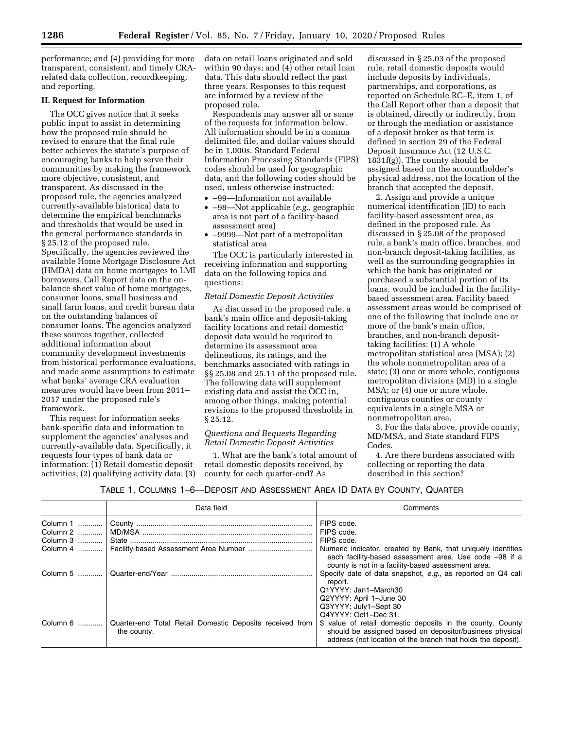performance; and (4) providing for more transparent, consistent, and timely CRArelated data collection, recordkeeping, and reporting.

# **II. Request for Information**

The OCC gives notice that it seeks public input to assist in determining how the proposed rule should be revised to ensure that the final rule better achieves the statute's purpose of encouraging banks to help serve their communities by making the framework more objective, consistent, and transparent. As discussed in the proposed rule, the agencies analyzed currently-available historical data to determine the empirical benchmarks and thresholds that would be used in the general performance standards in § 25.12 of the proposed rule. Specifically, the agencies reviewed the available Home Mortgage Disclosure Act (HMDA) data on home mortgages to LMI borrowers, Call Report data on the onbalance sheet value of home mortgages, consumer loans, small business and small farm loans, and credit bureau data on the outstanding balances of consumer loans. The agencies analyzed these sources together, collected additional information about community development investments from historical performance evaluations, and made some assumptions to estimate what banks' average CRA evaluation measures would have been from 2011– 2017 under the proposed rule's framework.

This request for information seeks bank-specific data and information to supplement the agencies' analyses and currently-available data. Specifically, it requests four types of bank data or information: (1) Retail domestic deposit activities; (2) qualifying activity data; (3) data on retail loans originated and sold within 90 days; and (4) other retail loan data. This data should reflect the past three years. Responses to this request are informed by a review of the proposed rule.

Respondents may answer all or some of the requests for information below. All information should be in a comma delimited file, and dollar values should be in 1,000s. Standard Federal Information Processing Standards (FIPS) codes should be used for geographic data, and the following codes should be used, unless otherwise instructed:

- –99—Information not available
- –98—Not applicable (*e.g.,* geographic area is not part of a facility-based assessment area)
- –9999—Not part of a metropolitan statistical area

The OCC is particularly interested in receiving information and supporting data on the following topics and questions:

### *Retail Domestic Deposit Activities*

As discussed in the proposed rule, a bank's main office and deposit-taking facility locations and retail domestic deposit data would be required to determine its assessment area delineations, its ratings, and the benchmarks associated with ratings in §§ 25.08 and 25.11 of the proposed rule. The following data will supplement existing data and assist the OCC in, among other things, making potential revisions to the proposed thresholds in § 25.12.

### *Questions and Requests Regarding Retail Domestic Deposit Activities*

1. What are the bank's total amount of retail domestic deposits received, by county for each quarter-end? As

discussed in § 25.03 of the proposed rule, retail domestic deposits would include deposits by individuals, partnerships, and corporations, as reported on Schedule RC–E, item 1, of the Call Report other than a deposit that is obtained, directly or indirectly, from or through the mediation or assistance of a deposit broker as that term is defined in section 29 of the Federal Deposit Insurance Act (12 U.S.C. 1831f(g)). The county should be assigned based on the accountholder's physical address, not the location of the branch that accepted the deposit.

2. Assign and provide a unique numerical identification (ID) to each facility-based assessment area, as defined in the proposed rule. As discussed in § 25.08 of the proposed rule, a bank's main office, branches, and non-branch deposit-taking facilities, as well as the surrounding geographies in which the bank has originated or purchased a substantial portion of its loans, would be included in the facilitybased assessment area. Facility based assessment areas would be comprised of one of the following that include one or more of the bank's main office, branches, and non-branch deposittaking facilities: (1) A whole metropolitan statistical area (MSA); (2) the whole nonmetropolitan area of a state; (3) one or more whole, contiguous metropolitan divisions (MD) in a single MSA; or (4) one or more whole, contiguous counties or county equivalents in a single MSA or nonmetropolitan area.

3. For the data above, provide county, MD/MSA, and State standard FIPS Codes.

4. Are there burdens associated with collecting or reporting the data described in this section?

|  |  | TABLE 1, COLUMNS 1-6-DEPOSIT AND ASSESSMENT AREA ID DATA BY COUNTY, QUARTER |  |  |  |  |  |  |
|--|--|-----------------------------------------------------------------------------|--|--|--|--|--|--|
|--|--|-----------------------------------------------------------------------------|--|--|--|--|--|--|

|               | Data field                                                              | Comments                                                                                                                                                                              |
|---------------|-------------------------------------------------------------------------|---------------------------------------------------------------------------------------------------------------------------------------------------------------------------------------|
| Column 1      |                                                                         | FIPS code.                                                                                                                                                                            |
| Column 2      |                                                                         | FIPS code.                                                                                                                                                                            |
| Column 3      |                                                                         | FIPS code.                                                                                                                                                                            |
| Column 4 ………… |                                                                         | Numeric indicator, created by Bank, that uniquely identifies<br>each facility-based assessment area. Use code -98 if a<br>county is not in a facility-based assessment area.          |
|               |                                                                         | Specify date of data snapshot, e.g., as reported on Q4 call<br>report.<br>Q1YYYY: Jan1-March30<br>Q2YYYY: April 1-June 30<br>Q3YYYY: July1-Sept 30<br>Q4YYYY: Oct1-Dec 31.            |
| Column 6      | Quarter-end Total Retail Domestic Deposits received from<br>the county. | \$ value of retail domestic deposits in the county. County<br>should be assigned based on depositor/business physical<br>address (not location of the branch that holds the deposit). |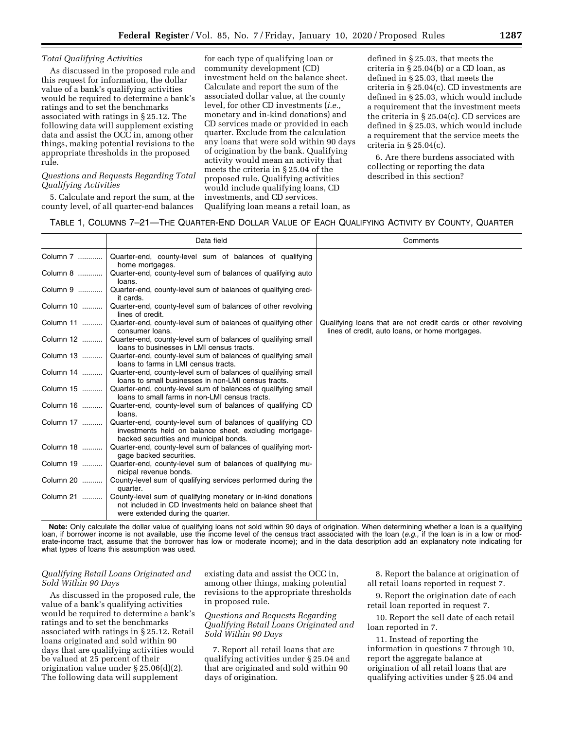## *Total Qualifying Activities*

As discussed in the proposed rule and this request for information, the dollar value of a bank's qualifying activities would be required to determine a bank's ratings and to set the benchmarks associated with ratings in § 25.12. The following data will supplement existing data and assist the OCC in, among other things, making potential revisions to the appropriate thresholds in the proposed rule.

# *Questions and Requests Regarding Total Qualifying Activities*

5. Calculate and report the sum, at the county level, of all quarter-end balances

for each type of qualifying loan or community development (CD) investment held on the balance sheet. Calculate and report the sum of the associated dollar value, at the county level, for other CD investments (*i.e.,*  monetary and in-kind donations) and CD services made or provided in each quarter. Exclude from the calculation any loans that were sold within 90 days of origination by the bank. Qualifying activity would mean an activity that meets the criteria in § 25.04 of the proposed rule. Qualifying activities would include qualifying loans, CD investments, and CD services. Qualifying loan means a retail loan, as

defined in § 25.03, that meets the criteria in § 25.04(b) or a CD loan, as defined in § 25.03, that meets the criteria in § 25.04(c). CD investments are defined in § 25.03, which would include a requirement that the investment meets the criteria in § 25.04(c). CD services are defined in § 25.03, which would include a requirement that the service meets the criteria in  $\S 25.04(c)$ .

6. Are there burdens associated with collecting or reporting the data described in this section?

# TABLE 1, COLUMNS 7–21—THE QUARTER-END DOLLAR VALUE OF EACH QUALIFYING ACTIVITY BY COUNTY, QUARTER

|           | Data field                                                                                                                                                     | Comments                                                                                                         |
|-----------|----------------------------------------------------------------------------------------------------------------------------------------------------------------|------------------------------------------------------------------------------------------------------------------|
| Column 7  | Quarter-end, county-level sum of balances of qualifying<br>home mortgages.                                                                                     |                                                                                                                  |
| Column 8  | Quarter-end, county-level sum of balances of qualifying auto<br>loans.                                                                                         |                                                                                                                  |
| Column 9  | Quarter-end, county-level sum of balances of qualifying cred-<br>it cards.                                                                                     |                                                                                                                  |
| Column 10 | Quarter-end, county-level sum of balances of other revolving<br>lines of credit.                                                                               |                                                                                                                  |
| Column 11 | Quarter-end, county-level sum of balances of qualifying other<br>consumer loans.                                                                               | Qualifying loans that are not credit cards or other revolving<br>lines of credit, auto loans, or home mortgages. |
| Column 12 | Quarter-end, county-level sum of balances of qualifying small<br>loans to businesses in LMI census tracts.                                                     |                                                                                                                  |
| Column 13 | Quarter-end, county-level sum of balances of qualifying small<br>loans to farms in LMI census tracts.                                                          |                                                                                                                  |
| Column 14 | Quarter-end, county-level sum of balances of qualifying small<br>loans to small businesses in non-LMI census tracts.                                           |                                                                                                                  |
| Column 15 | Quarter-end, county-level sum of balances of qualifying small<br>loans to small farms in non-LMI census tracts.                                                |                                                                                                                  |
| Column 16 | Quarter-end, county-level sum of balances of qualifying CD<br>loans.                                                                                           |                                                                                                                  |
| Column 17 | Quarter-end, county-level sum of balances of qualifying CD<br>investments held on balance sheet, excluding mortgage-<br>backed securities and municipal bonds. |                                                                                                                  |
| Column 18 | Quarter-end, county-level sum of balances of qualifying mort-<br>gage backed securities.                                                                       |                                                                                                                  |
| Column 19 | Quarter-end, county-level sum of balances of qualifying mu-<br>nicipal revenue bonds.                                                                          |                                                                                                                  |
| Column 20 | County-level sum of qualifying services performed during the<br>quarter.                                                                                       |                                                                                                                  |
| Column 21 | County-level sum of qualifying monetary or in-kind donations<br>not included in CD Investments held on balance sheet that<br>were extended during the quarter. |                                                                                                                  |

**Note:** Only calculate the dollar value of qualifying loans not sold within 90 days of origination. When determining whether a loan is a qualifying loan, if borrower income is not available, use the income level of the census tract associated with the loan (*e.g.,* if the loan is in a low or moderate-income tract, assume that the borrower has low or moderate income); and in the data description add an explanatory note indicating for what types of loans this assumption was used.

#### *Qualifying Retail Loans Originated and Sold Within 90 Days*

As discussed in the proposed rule, the value of a bank's qualifying activities would be required to determine a bank's ratings and to set the benchmarks associated with ratings in § 25.12. Retail loans originated and sold within 90 days that are qualifying activities would be valued at 25 percent of their origination value under § 25.06(d)(2). The following data will supplement

existing data and assist the OCC in, among other things, making potential revisions to the appropriate thresholds in proposed rule.

*Questions and Requests Regarding Qualifying Retail Loans Originated and Sold Within 90 Days* 

7. Report all retail loans that are qualifying activities under § 25.04 and that are originated and sold within 90 days of origination.

8. Report the balance at origination of all retail loans reported in request 7.

9. Report the origination date of each retail loan reported in request 7.

10. Report the sell date of each retail loan reported in 7.

11. Instead of reporting the information in questions 7 through 10, report the aggregate balance at origination of all retail loans that are qualifying activities under § 25.04 and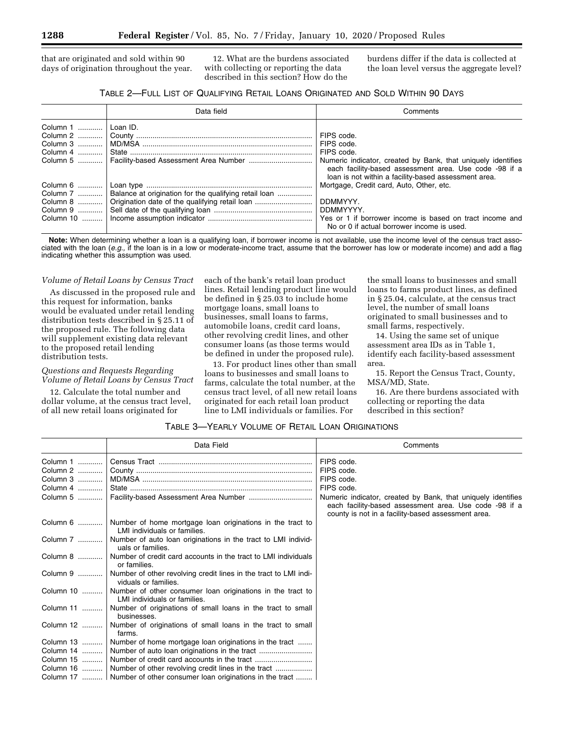that are originated and sold within 90 days of origination throughout the year.

12. What are the burdens associated with collecting or reporting the data described in this section? How do the

burdens differ if the data is collected at the loan level versus the aggregate level?

# TABLE 2—FULL LIST OF QUALIFYING RETAIL LOANS ORIGINATED AND SOLD WITHIN 90 DAYS

|          | Data field                                                        | Comments                                                                                                                                                                       |
|----------|-------------------------------------------------------------------|--------------------------------------------------------------------------------------------------------------------------------------------------------------------------------|
| Column 1 | Loan ID.                                                          |                                                                                                                                                                                |
|          |                                                                   | FIPS code.                                                                                                                                                                     |
|          |                                                                   | FIPS code.                                                                                                                                                                     |
| Column 4 |                                                                   | FIPS code.                                                                                                                                                                     |
|          |                                                                   | Numeric indicator, created by Bank, that uniquely identifies<br>each facility-based assessment area. Use code -98 if a<br>loan is not within a facility-based assessment area. |
| Column 6 |                                                                   | Mortgage, Credit card, Auto, Other, etc.                                                                                                                                       |
|          | Column 7    Balance at origination for the qualifying retail loan |                                                                                                                                                                                |
|          | Column 8    Origination date of the qualifying retail loan        | DDMMYYY.                                                                                                                                                                       |
|          |                                                                   | DDMMYYYY.                                                                                                                                                                      |
|          |                                                                   | No or 0 if actual borrower income is used.                                                                                                                                     |

**Note:** When determining whether a loan is a qualifying loan, if borrower income is not available, use the income level of the census tract associated with the loan (*e.g.,* if the loan is in a low or moderate-income tract, assume that the borrower has low or moderate income) and add a flag indicating whether this assumption was used.

#### *Volume of Retail Loans by Census Tract*

As discussed in the proposed rule and this request for information, banks would be evaluated under retail lending distribution tests described in § 25.11 of the proposed rule. The following data will supplement existing data relevant to the proposed retail lending distribution tests.

# *Questions and Requests Regarding Volume of Retail Loans by Census Tract*

12. Calculate the total number and dollar volume, at the census tract level, of all new retail loans originated for

each of the bank's retail loan product lines. Retail lending product line would be defined in § 25.03 to include home mortgage loans, small loans to businesses, small loans to farms, automobile loans, credit card loans, other revolving credit lines, and other consumer loans (as those terms would be defined in under the proposed rule).

13. For product lines other than small loans to businesses and small loans to farms, calculate the total number, at the census tract level, of all new retail loans originated for each retail loan product line to LMI individuals or families. For

the small loans to businesses and small loans to farms product lines, as defined in § 25.04, calculate, at the census tract level, the number of small loans originated to small businesses and to small farms, respectively.

14. Using the same set of unique assessment area IDs as in Table 1, identify each facility-based assessment area.

15. Report the Census Tract, County, MSA/MD, State.

16. Are there burdens associated with collecting or reporting the data described in this section?

# TABLE 3—YEARLY VOLUME OF RETAIL LOAN ORIGINATIONS

|           | Data Field                                                                                 | Comments                                                                                                                                                                     |
|-----------|--------------------------------------------------------------------------------------------|------------------------------------------------------------------------------------------------------------------------------------------------------------------------------|
| Column 1  |                                                                                            | FIPS code.                                                                                                                                                                   |
| Column 2  |                                                                                            | FIPS code.                                                                                                                                                                   |
| Column 3  |                                                                                            | FIPS code.                                                                                                                                                                   |
| Column 4  |                                                                                            | FIPS code.                                                                                                                                                                   |
| Column 5  |                                                                                            | Numeric indicator, created by Bank, that uniquely identifies<br>each facility-based assessment area. Use code -98 if a<br>county is not in a facility-based assessment area. |
| Column 6  | Number of home mortgage loan originations in the tract to<br>LMI individuals or families.  |                                                                                                                                                                              |
| Column 7  | Number of auto loan originations in the tract to LMI individ-<br>uals or families.         |                                                                                                                                                                              |
| Column 8  | Number of credit card accounts in the tract to LMI individuals<br>or families.             |                                                                                                                                                                              |
| Column 9  | Number of other revolving credit lines in the tract to LMI indi-<br>viduals or families.   |                                                                                                                                                                              |
| Column 10 | Number of other consumer loan originations in the tract to<br>LMI individuals or families. |                                                                                                                                                                              |
| Column 11 | Number of originations of small loans in the tract to small<br>businesses.                 |                                                                                                                                                                              |
| Column 12 | Number of originations of small loans in the tract to small<br>farms.                      |                                                                                                                                                                              |
| Column 13 | Number of home mortgage loan originations in the tract                                     |                                                                                                                                                                              |
| Column 14 |                                                                                            |                                                                                                                                                                              |
| Column 15 |                                                                                            |                                                                                                                                                                              |
| Column 16 |                                                                                            |                                                                                                                                                                              |
| Column 17 | Number of other consumer loan originations in the tract                                    |                                                                                                                                                                              |